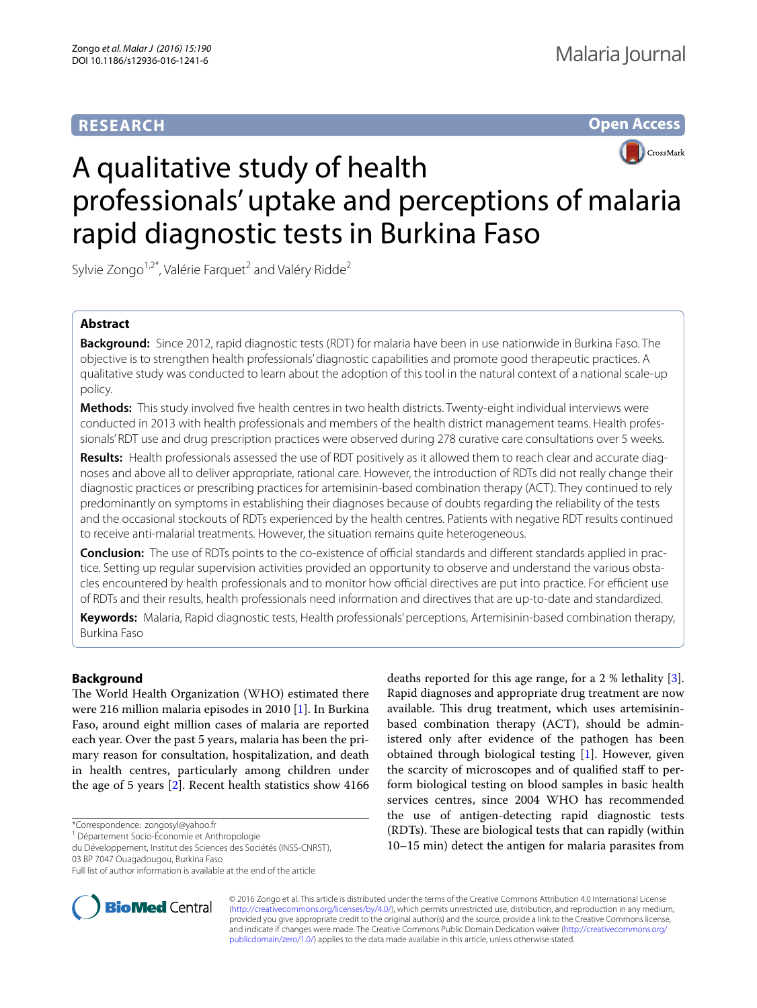## **RESEARCH**

**Open Access**



# A qualitative study of health professionals' uptake and perceptions of malaria rapid diagnostic tests in Burkina Faso

Sylvie Zongo<sup>1,2\*</sup>, Valérie Farquet<sup>2</sup> and Valéry Ridde<sup>2</sup>

## **Abstract**

**Background:** Since 2012, rapid diagnostic tests (RDT) for malaria have been in use nationwide in Burkina Faso. The objective is to strengthen health professionals' diagnostic capabilities and promote good therapeutic practices. A qualitative study was conducted to learn about the adoption of this tool in the natural context of a national scale-up policy.

**Methods:** This study involved five health centres in two health districts. Twenty-eight individual interviews were conducted in 2013 with health professionals and members of the health district management teams. Health professionals' RDT use and drug prescription practices were observed during 278 curative care consultations over 5 weeks.

**Results:** Health professionals assessed the use of RDT positively as it allowed them to reach clear and accurate diagnoses and above all to deliver appropriate, rational care. However, the introduction of RDTs did not really change their diagnostic practices or prescribing practices for artemisinin-based combination therapy (ACT). They continued to rely predominantly on symptoms in establishing their diagnoses because of doubts regarding the reliability of the tests and the occasional stockouts of RDTs experienced by the health centres. Patients with negative RDT results continued to receive anti-malarial treatments. However, the situation remains quite heterogeneous.

**Conclusion:** The use of RDTs points to the co-existence of official standards and different standards applied in practice. Setting up regular supervision activities provided an opportunity to observe and understand the various obstacles encountered by health professionals and to monitor how official directives are put into practice. For efficient use of RDTs and their results, health professionals need information and directives that are up-to-date and standardized.

**Keywords:** Malaria, Rapid diagnostic tests, Health professionals' perceptions, Artemisinin-based combination therapy, Burkina Faso

## **Background**

The World Health Organization (WHO) estimated there were 216 million malaria episodes in 2010 [\[1](#page-9-0)]. In Burkina Faso, around eight million cases of malaria are reported each year. Over the past 5 years, malaria has been the primary reason for consultation, hospitalization, and death in health centres, particularly among children under the age of 5 years [\[2](#page-10-0)]. Recent health statistics show 4166

**BioMed** Central

03 BP 7047 Ouagadougou, Burkina Faso



© 2016 Zongo et al. This article is distributed under the terms of the Creative Commons Attribution 4.0 International License [\(http://creativecommons.org/licenses/by/4.0/\)](http://creativecommons.org/licenses/by/4.0/), which permits unrestricted use, distribution, and reproduction in any medium, provided you give appropriate credit to the original author(s) and the source, provide a link to the Creative Commons license, and indicate if changes were made. The Creative Commons Public Domain Dedication waiver ([http://creativecommons.org/](http://creativecommons.org/publicdomain/zero/1.0/) [publicdomain/zero/1.0/](http://creativecommons.org/publicdomain/zero/1.0/)) applies to the data made available in this article, unless otherwise stated.

<sup>\*</sup>Correspondence: zongosyl@yahoo.fr

<sup>&</sup>lt;sup>1</sup> Département Socio-Économie et Anthropologie

du Développement, Institut des Sciences des Sociétés (INSS-CNRST),

Full list of author information is available at the end of the article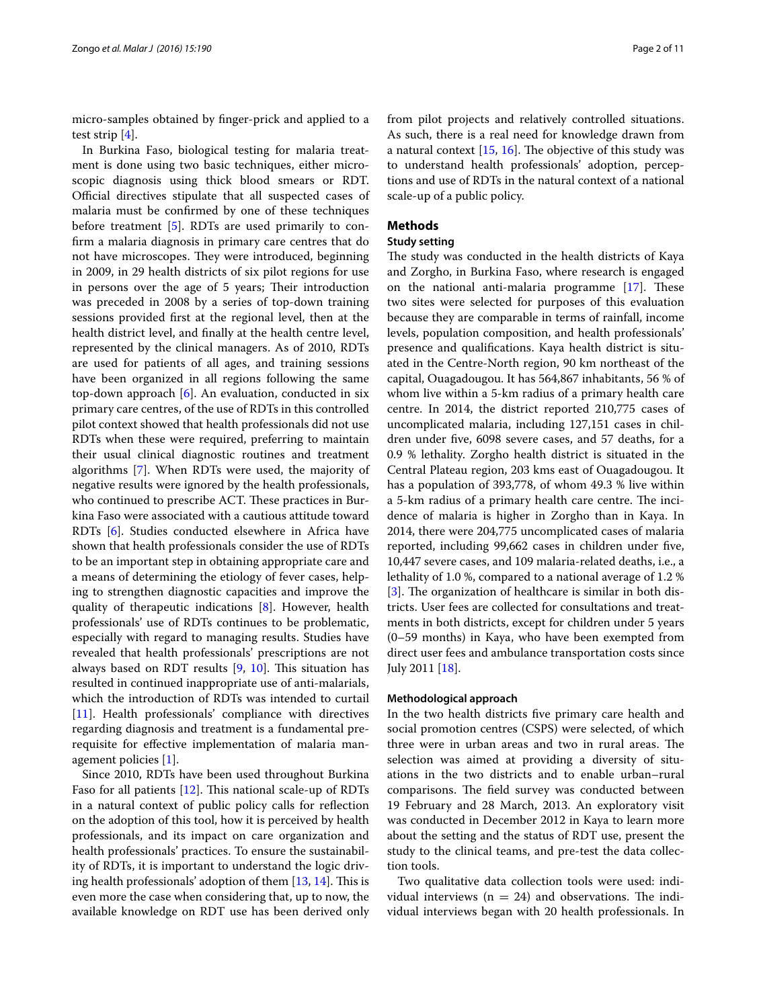micro-samples obtained by finger-prick and applied to a test strip [\[4\]](#page-10-2).

In Burkina Faso, biological testing for malaria treatment is done using two basic techniques, either microscopic diagnosis using thick blood smears or RDT. Official directives stipulate that all suspected cases of malaria must be confirmed by one of these techniques before treatment [[5\]](#page-10-3). RDTs are used primarily to confirm a malaria diagnosis in primary care centres that do not have microscopes. They were introduced, beginning in 2009, in 29 health districts of six pilot regions for use in persons over the age of 5 years; Their introduction was preceded in 2008 by a series of top-down training sessions provided first at the regional level, then at the health district level, and finally at the health centre level, represented by the clinical managers. As of 2010, RDTs are used for patients of all ages, and training sessions have been organized in all regions following the same top-down approach [\[6](#page-10-4)]. An evaluation, conducted in six primary care centres, of the use of RDTs in this controlled pilot context showed that health professionals did not use RDTs when these were required, preferring to maintain their usual clinical diagnostic routines and treatment algorithms [[7\]](#page-10-5). When RDTs were used, the majority of negative results were ignored by the health professionals, who continued to prescribe ACT. These practices in Burkina Faso were associated with a cautious attitude toward RDTs [\[6](#page-10-4)]. Studies conducted elsewhere in Africa have shown that health professionals consider the use of RDTs to be an important step in obtaining appropriate care and a means of determining the etiology of fever cases, helping to strengthen diagnostic capacities and improve the quality of therapeutic indications [[8\]](#page-10-6). However, health professionals' use of RDTs continues to be problematic, especially with regard to managing results. Studies have revealed that health professionals' prescriptions are not always based on RDT results [\[9](#page-10-7), [10\]](#page-10-8). This situation has resulted in continued inappropriate use of anti-malarials, which the introduction of RDTs was intended to curtail [[11\]](#page-10-9). Health professionals' compliance with directives regarding diagnosis and treatment is a fundamental prerequisite for effective implementation of malaria management policies [[1](#page-9-0)].

Since 2010, RDTs have been used throughout Burkina Faso for all patients [\[12](#page-10-10)]. This national scale-up of RDTs in a natural context of public policy calls for reflection on the adoption of this tool, how it is perceived by health professionals, and its impact on care organization and health professionals' practices. To ensure the sustainability of RDTs, it is important to understand the logic driving health professionals' adoption of them [[13,](#page-10-11) [14\]](#page-10-12). This is even more the case when considering that, up to now, the available knowledge on RDT use has been derived only from pilot projects and relatively controlled situations. As such, there is a real need for knowledge drawn from a natural context [[15,](#page-10-13) [16](#page-10-14)]. The objective of this study was to understand health professionals' adoption, perceptions and use of RDTs in the natural context of a national scale-up of a public policy.

## **Methods**

#### **Study setting**

The study was conducted in the health districts of Kaya and Zorgho, in Burkina Faso, where research is engaged on the national anti-malaria programme [\[17](#page-10-15)]. These two sites were selected for purposes of this evaluation because they are comparable in terms of rainfall, income levels, population composition, and health professionals' presence and qualifications. Kaya health district is situated in the Centre-North region, 90 km northeast of the capital, Ouagadougou. It has 564,867 inhabitants, 56 % of whom live within a 5-km radius of a primary health care centre. In 2014, the district reported 210,775 cases of uncomplicated malaria, including 127,151 cases in children under five, 6098 severe cases, and 57 deaths, for a 0.9 % lethality. Zorgho health district is situated in the Central Plateau region, 203 kms east of Ouagadougou. It has a population of 393,778, of whom 49.3 % live within a 5-km radius of a primary health care centre. The incidence of malaria is higher in Zorgho than in Kaya. In 2014, there were 204,775 uncomplicated cases of malaria reported, including 99,662 cases in children under five, 10,447 severe cases, and 109 malaria-related deaths, i.e., a lethality of 1.0 %, compared to a national average of 1.2 % [[3\]](#page-10-1). The organization of healthcare is similar in both districts. User fees are collected for consultations and treatments in both districts, except for children under 5 years (0–59 months) in Kaya, who have been exempted from direct user fees and ambulance transportation costs since July 2011 [\[18](#page-10-16)].

#### **Methodological approach**

In the two health districts five primary care health and social promotion centres (CSPS) were selected, of which three were in urban areas and two in rural areas. The selection was aimed at providing a diversity of situations in the two districts and to enable urban–rural comparisons. The field survey was conducted between 19 February and 28 March, 2013. An exploratory visit was conducted in December 2012 in Kaya to learn more about the setting and the status of RDT use, present the study to the clinical teams, and pre-test the data collection tools.

Two qualitative data collection tools were used: individual interviews ( $n = 24$ ) and observations. The individual interviews began with 20 health professionals. In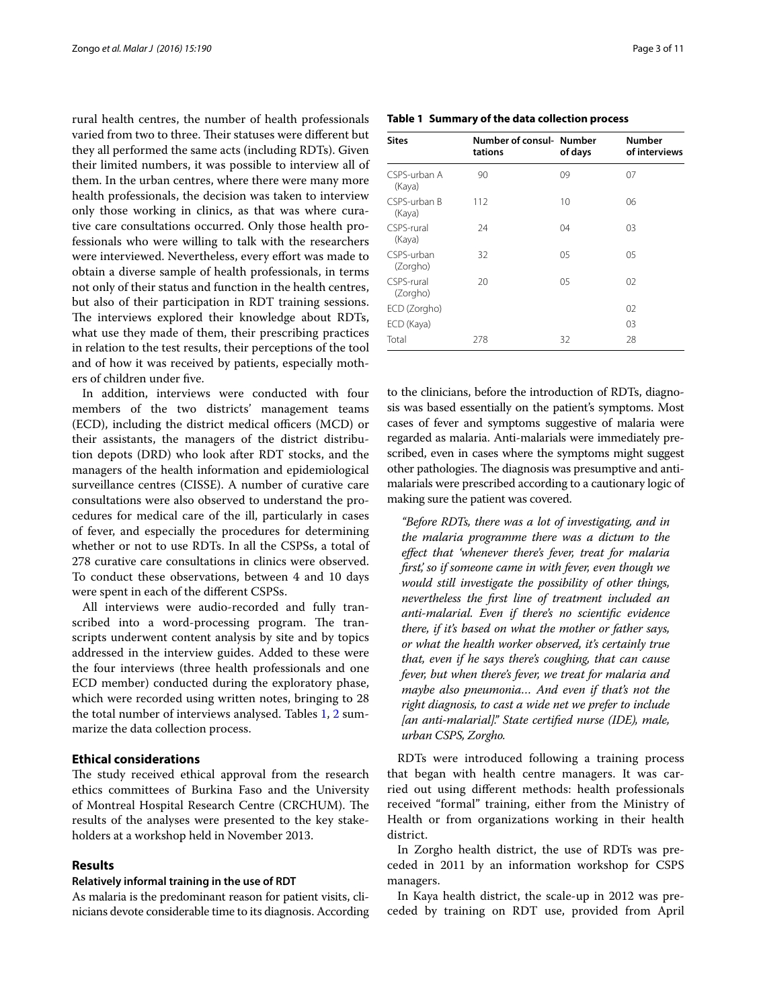rural health centres, the number of health professionals varied from two to three. Their statuses were different but they all performed the same acts (including RDTs). Given their limited numbers, it was possible to interview all of them. In the urban centres, where there were many more health professionals, the decision was taken to interview only those working in clinics, as that was where curative care consultations occurred. Only those health professionals who were willing to talk with the researchers were interviewed. Nevertheless, every effort was made to obtain a diverse sample of health professionals, in terms not only of their status and function in the health centres, but also of their participation in RDT training sessions. The interviews explored their knowledge about RDTs, what use they made of them, their prescribing practices in relation to the test results, their perceptions of the tool and of how it was received by patients, especially mothers of children under five.

In addition, interviews were conducted with four members of the two districts' management teams (ECD), including the district medical officers (MCD) or their assistants, the managers of the district distribution depots (DRD) who look after RDT stocks, and the managers of the health information and epidemiological surveillance centres (CISSE). A number of curative care consultations were also observed to understand the procedures for medical care of the ill, particularly in cases of fever, and especially the procedures for determining whether or not to use RDTs. In all the CSPSs, a total of 278 curative care consultations in clinics were observed. To conduct these observations, between 4 and 10 days were spent in each of the different CSPSs.

All interviews were audio-recorded and fully transcribed into a word-processing program. The transcripts underwent content analysis by site and by topics addressed in the interview guides. Added to these were the four interviews (three health professionals and one ECD member) conducted during the exploratory phase, which were recorded using written notes, bringing to 28 the total number of interviews analysed. Tables [1](#page-2-0), [2](#page-3-0) summarize the data collection process.

## **Ethical considerations**

The study received ethical approval from the research ethics committees of Burkina Faso and the University of Montreal Hospital Research Centre (CRCHUM). The results of the analyses were presented to the key stakeholders at a workshop held in November 2013.

## **Results**

## **Relatively informal training in the use of RDT**

As malaria is the predominant reason for patient visits, clinicians devote considerable time to its diagnosis. According

| Page 3 of 11 |  |  |
|--------------|--|--|
|              |  |  |

<span id="page-2-0"></span>**Table 1 Summary of the data collection process**

| <b>Sites</b>           | Number of consul- Number<br>tations | of days | <b>Number</b><br>of interviews |
|------------------------|-------------------------------------|---------|--------------------------------|
| CSPS-urban A<br>(Kaya) | 90                                  | 09      | 07                             |
| CSPS-urban B<br>(Kaya) | 112                                 | 10      | 06                             |
| CSPS-rural<br>(Kaya)   | 24                                  | 04      | 03                             |
| CSPS-urban<br>(Zorgho) | 32                                  | 05      | 05                             |
| CSPS-rural<br>(Zorgho) | 20                                  | 05      | 02                             |
| ECD (Zorgho)           |                                     |         | 02                             |
| ECD (Kaya)             |                                     |         | 03                             |
| Total                  | 278                                 | 32      | 28                             |

to the clinicians, before the introduction of RDTs, diagnosis was based essentially on the patient's symptoms. Most cases of fever and symptoms suggestive of malaria were regarded as malaria. Anti-malarials were immediately prescribed, even in cases where the symptoms might suggest other pathologies. The diagnosis was presumptive and antimalarials were prescribed according to a cautionary logic of making sure the patient was covered.

*"Before RDTs, there was a lot of investigating, and in the malaria programme there was a dictum to the effect that 'whenever there's fever, treat for malaria first,' so if someone came in with fever, even though we would still investigate the possibility of other things, nevertheless the first line of treatment included an anti-malarial. Even if there's no scientific evidence there, if it's based on what the mother or father says, or what the health worker observed, it's certainly true that, even if he says there's coughing, that can cause fever, but when there's fever, we treat for malaria and maybe also pneumonia… And even if that's not the right diagnosis, to cast a wide net we prefer to include [an anti-malarial]." State certified nurse (IDE), male, urban CSPS, Zorgho.*

RDTs were introduced following a training process that began with health centre managers. It was carried out using different methods: health professionals received "formal" training, either from the Ministry of Health or from organizations working in their health district.

In Zorgho health district, the use of RDTs was preceded in 2011 by an information workshop for CSPS managers.

In Kaya health district, the scale-up in 2012 was preceded by training on RDT use, provided from April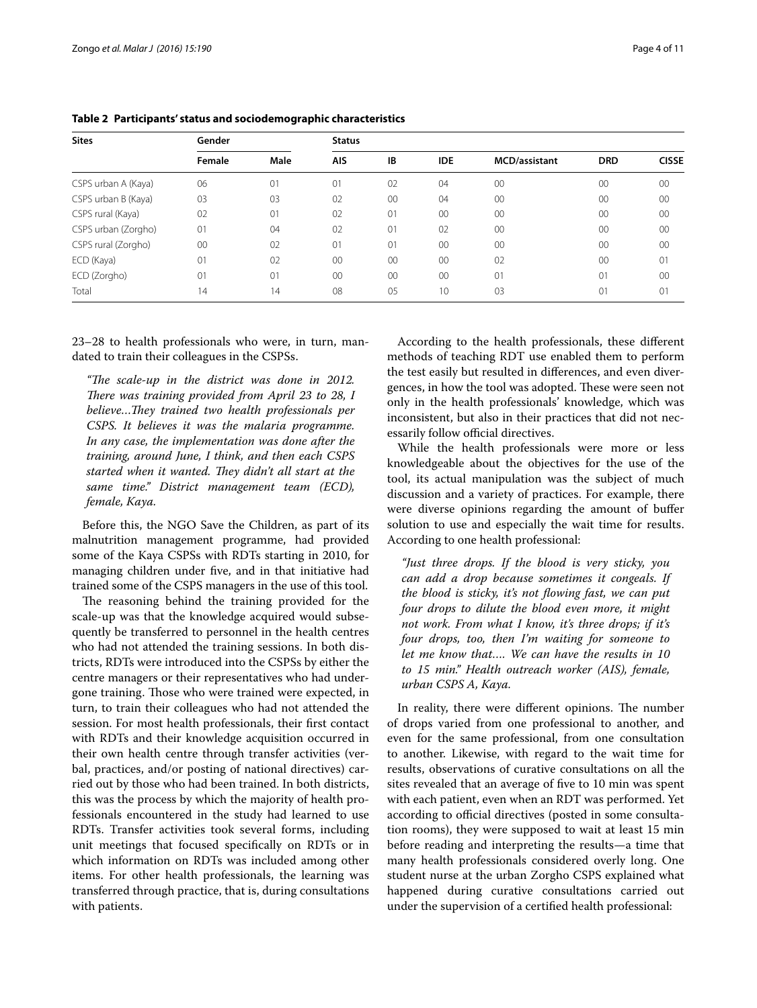| <b>Sites</b>        | Gender |      | <b>Status</b> |        |            |                      |            |              |
|---------------------|--------|------|---------------|--------|------------|----------------------|------------|--------------|
|                     | Female | Male | <b>AIS</b>    | IB     | <b>IDE</b> | <b>MCD/assistant</b> | <b>DRD</b> | <b>CISSE</b> |
| CSPS urban A (Kaya) | 06     | 01   | 01            | 02     | 04         | $00\,$               | 00         | 00           |
| CSPS urban B (Kaya) | 03     | 03   | 02            | $00\,$ | 04         | $00\,$               | 00         | 00           |
| CSPS rural (Kaya)   | 02     | 01   | 02            | 01     | 00         | 00                   | 00         | 00           |
| CSPS urban (Zorgho) | 01     | 04   | 02            | 01     | 02         | 00                   | 00         | 00           |
| CSPS rural (Zorgho) | 00     | 02   | 01            | 01     | 00         | $00\,$               | 00         | 00           |
| ECD (Kaya)          | 01     | 02   | 00            | $00\,$ | $00\,$     | 02                   | 00         | 01           |
| ECD (Zorgho)        | 01     | 01   | 00            | 00     | 00         | 01                   | 01         | 00           |
| Total               | 14     | 14   | 08            | 05     | 10         | 03                   | 01         | 01           |

<span id="page-3-0"></span>**Table 2 Participants' status and sociodemographic characteristics**

23–28 to health professionals who were, in turn, mandated to train their colleagues in the CSPSs.

*"The scale-up in the district was done in 2012. There was training provided from April 23 to 28, I believe…They trained two health professionals per CSPS. It believes it was the malaria programme. In any case, the implementation was done after the training, around June, I think, and then each CSPS started when it wanted. They didn't all start at the same time." District management team (ECD), female, Kaya.*

Before this, the NGO Save the Children, as part of its malnutrition management programme, had provided some of the Kaya CSPSs with RDTs starting in 2010, for managing children under five, and in that initiative had trained some of the CSPS managers in the use of this tool.

The reasoning behind the training provided for the scale-up was that the knowledge acquired would subsequently be transferred to personnel in the health centres who had not attended the training sessions. In both districts, RDTs were introduced into the CSPSs by either the centre managers or their representatives who had undergone training. Those who were trained were expected, in turn, to train their colleagues who had not attended the session. For most health professionals, their first contact with RDTs and their knowledge acquisition occurred in their own health centre through transfer activities (verbal, practices, and/or posting of national directives) carried out by those who had been trained. In both districts, this was the process by which the majority of health professionals encountered in the study had learned to use RDTs. Transfer activities took several forms, including unit meetings that focused specifically on RDTs or in which information on RDTs was included among other items. For other health professionals, the learning was transferred through practice, that is, during consultations with patients.

According to the health professionals, these different methods of teaching RDT use enabled them to perform the test easily but resulted in differences, and even divergences, in how the tool was adopted. These were seen not only in the health professionals' knowledge, which was inconsistent, but also in their practices that did not necessarily follow official directives.

While the health professionals were more or less knowledgeable about the objectives for the use of the tool, its actual manipulation was the subject of much discussion and a variety of practices. For example, there were diverse opinions regarding the amount of buffer solution to use and especially the wait time for results. According to one health professional:

*"Just three drops. If the blood is very sticky, you can add a drop because sometimes it congeals. If the blood is sticky, it's not flowing fast, we can put four drops to dilute the blood even more, it might not work. From what I know, it's three drops; if it's four drops, too, then I'm waiting for someone to let me know that…. We can have the results in 10 to 15 min." Health outreach worker (AIS), female, urban CSPS A, Kaya.*

In reality, there were different opinions. The number of drops varied from one professional to another, and even for the same professional, from one consultation to another. Likewise, with regard to the wait time for results, observations of curative consultations on all the sites revealed that an average of five to 10 min was spent with each patient, even when an RDT was performed. Yet according to official directives (posted in some consultation rooms), they were supposed to wait at least 15 min before reading and interpreting the results—a time that many health professionals considered overly long. One student nurse at the urban Zorgho CSPS explained what happened during curative consultations carried out under the supervision of a certified health professional: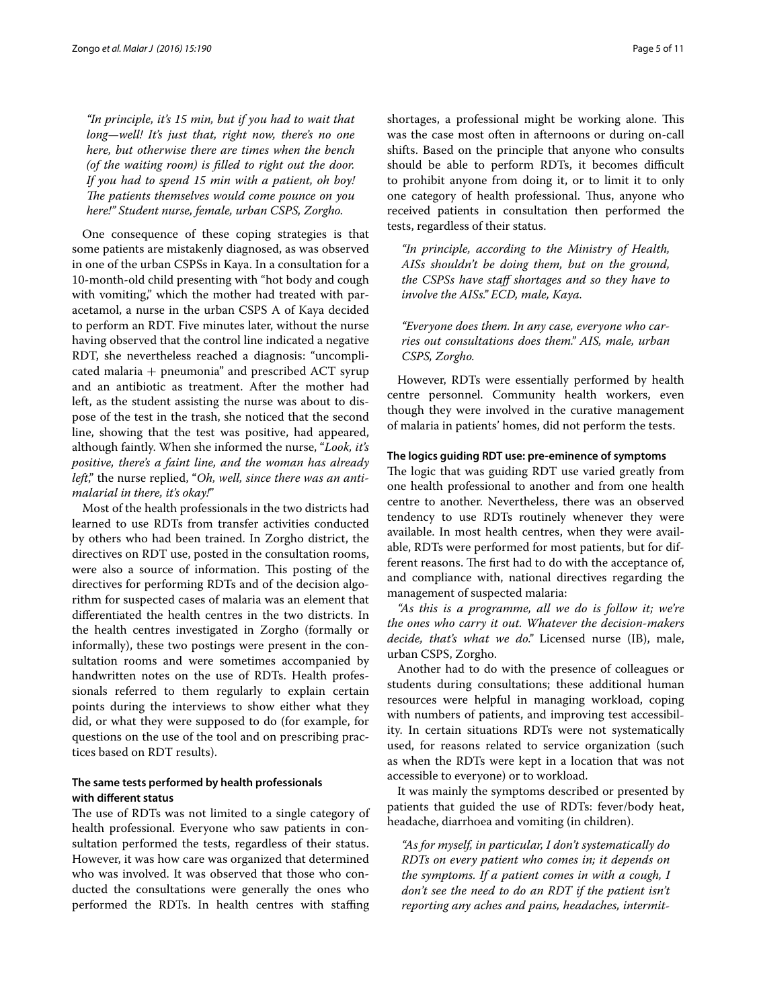*"In principle, it's 15 min, but if you had to wait that long—well! It's just that, right now, there's no one here, but otherwise there are times when the bench (of the waiting room) is filled to right out the door. If you had to spend 15 min with a patient, oh boy! The patients themselves would come pounce on you here!" Student nurse, female, urban CSPS, Zorgho.*

One consequence of these coping strategies is that some patients are mistakenly diagnosed, as was observed in one of the urban CSPSs in Kaya. In a consultation for a 10-month-old child presenting with "hot body and cough with vomiting," which the mother had treated with paracetamol, a nurse in the urban CSPS A of Kaya decided to perform an RDT. Five minutes later, without the nurse having observed that the control line indicated a negative RDT, she nevertheless reached a diagnosis: "uncomplicated malaria  $+$  pneumonia" and prescribed ACT syrup and an antibiotic as treatment. After the mother had left, as the student assisting the nurse was about to dispose of the test in the trash, she noticed that the second line, showing that the test was positive, had appeared, although faintly. When she informed the nurse, "*Look, it's positive, there's a faint line, and the woman has already left*," the nurse replied, "*Oh, well, since there was an antimalarial in there, it's okay!*"

Most of the health professionals in the two districts had learned to use RDTs from transfer activities conducted by others who had been trained. In Zorgho district, the directives on RDT use, posted in the consultation rooms, were also a source of information. This posting of the directives for performing RDTs and of the decision algorithm for suspected cases of malaria was an element that differentiated the health centres in the two districts. In the health centres investigated in Zorgho (formally or informally), these two postings were present in the consultation rooms and were sometimes accompanied by handwritten notes on the use of RDTs. Health professionals referred to them regularly to explain certain points during the interviews to show either what they did, or what they were supposed to do (for example, for questions on the use of the tool and on prescribing practices based on RDT results).

## **The same tests performed by health professionals with different status**

The use of RDTs was not limited to a single category of health professional. Everyone who saw patients in consultation performed the tests, regardless of their status. However, it was how care was organized that determined who was involved. It was observed that those who conducted the consultations were generally the ones who performed the RDTs. In health centres with staffing shortages, a professional might be working alone. This was the case most often in afternoons or during on-call shifts. Based on the principle that anyone who consults should be able to perform RDTs, it becomes difficult to prohibit anyone from doing it, or to limit it to only one category of health professional. Thus, anyone who received patients in consultation then performed the tests, regardless of their status.

*"In principle, according to the Ministry of Health, AISs shouldn't be doing them, but on the ground, the CSPSs have staff shortages and so they have to involve the AISs." ECD, male, Kaya.*

*"Everyone does them. In any case, everyone who carries out consultations does them." AIS, male, urban CSPS, Zorgho.*

However, RDTs were essentially performed by health centre personnel. Community health workers, even though they were involved in the curative management of malaria in patients' homes, did not perform the tests.

#### **The logics guiding RDT use: pre‑eminence of symptoms**

The logic that was guiding RDT use varied greatly from one health professional to another and from one health centre to another. Nevertheless, there was an observed tendency to use RDTs routinely whenever they were available. In most health centres, when they were available, RDTs were performed for most patients, but for different reasons. The first had to do with the acceptance of, and compliance with, national directives regarding the management of suspected malaria:

*"As this is a programme, all we do is follow it; we're the ones who carry it out. Whatever the decision*-*makers decide, that's what we do."* Licensed nurse (IB), male, urban CSPS, Zorgho.

Another had to do with the presence of colleagues or students during consultations; these additional human resources were helpful in managing workload, coping with numbers of patients, and improving test accessibility. In certain situations RDTs were not systematically used, for reasons related to service organization (such as when the RDTs were kept in a location that was not accessible to everyone) or to workload.

It was mainly the symptoms described or presented by patients that guided the use of RDTs: fever/body heat, headache, diarrhoea and vomiting (in children).

*"As for myself, in particular, I don't systematically do RDTs on every patient who comes in; it depends on the symptoms. If a patient comes in with a cough, I don't see the need to do an RDT if the patient isn't reporting any aches and pains, headaches, intermit-*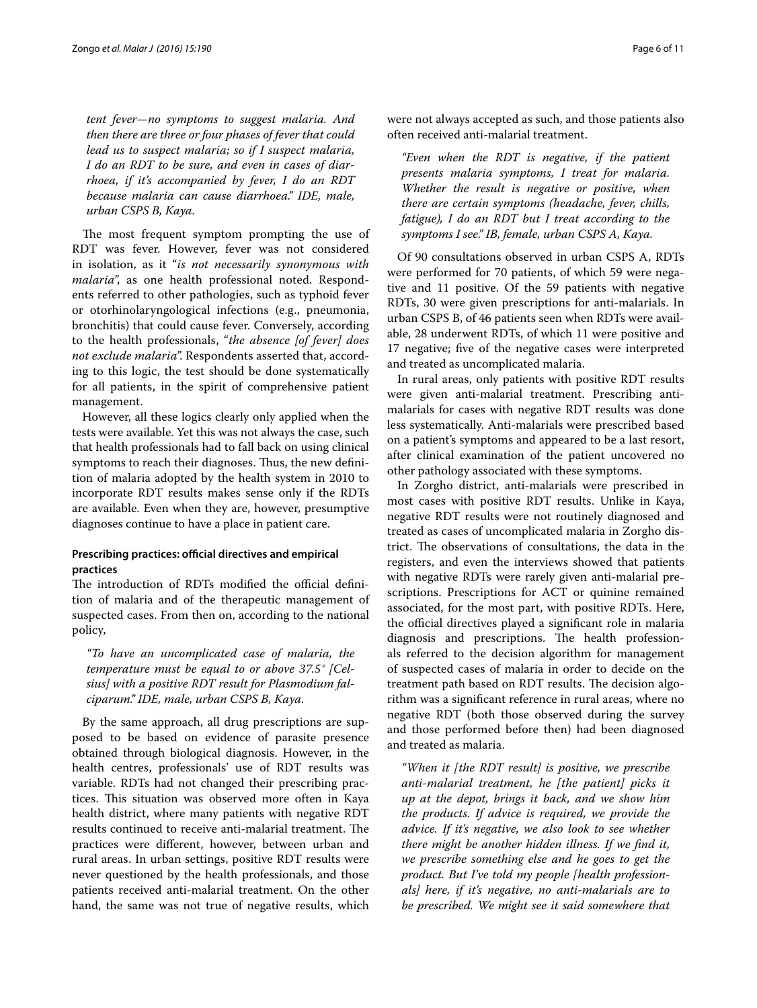*tent fever—no symptoms to suggest malaria. And then there are three or four phases of fever that could lead us to suspect malaria; so if I suspect malaria, I do an RDT to be sure, and even in cases of diarrhoea, if it's accompanied by fever, I do an RDT because malaria can cause diarrhoea." IDE, male, urban CSPS B, Kaya.*

The most frequent symptom prompting the use of RDT was fever. However, fever was not considered in isolation, as it "*is not necessarily synonymous with malaria*", as one health professional noted. Respondents referred to other pathologies, such as typhoid fever or otorhinolaryngological infections (e.g., pneumonia, bronchitis) that could cause fever. Conversely, according to the health professionals, "*the absence [of fever] does not exclude malaria*". Respondents asserted that, according to this logic, the test should be done systematically for all patients, in the spirit of comprehensive patient management.

However, all these logics clearly only applied when the tests were available. Yet this was not always the case, such that health professionals had to fall back on using clinical symptoms to reach their diagnoses. Thus, the new definition of malaria adopted by the health system in 2010 to incorporate RDT results makes sense only if the RDTs are available. Even when they are, however, presumptive diagnoses continue to have a place in patient care.

## **Prescribing practices: official directives and empirical practices**

The introduction of RDTs modified the official definition of malaria and of the therapeutic management of suspected cases. From then on, according to the national policy,

*"To have an uncomplicated case of malaria, the temperature must be equal to or above 37.5° [Celsius] with a positive RDT result for Plasmodium falciparum." IDE, male, urban CSPS B, Kaya.*

By the same approach, all drug prescriptions are supposed to be based on evidence of parasite presence obtained through biological diagnosis. However, in the health centres, professionals' use of RDT results was variable. RDTs had not changed their prescribing practices. This situation was observed more often in Kaya health district, where many patients with negative RDT results continued to receive anti-malarial treatment. The practices were different, however, between urban and rural areas. In urban settings, positive RDT results were never questioned by the health professionals, and those patients received anti-malarial treatment. On the other hand, the same was not true of negative results, which were not always accepted as such, and those patients also often received anti-malarial treatment.

*"Even when the RDT is negative, if the patient presents malaria symptoms, I treat for malaria. Whether the result is negative or positive, when there are certain symptoms (headache, fever, chills, fatigue), I do an RDT but I treat according to the symptoms I see." IB, female, urban CSPS A, Kaya.*

Of 90 consultations observed in urban CSPS A, RDTs were performed for 70 patients, of which 59 were negative and 11 positive. Of the 59 patients with negative RDTs, 30 were given prescriptions for anti-malarials. In urban CSPS B, of 46 patients seen when RDTs were available, 28 underwent RDTs, of which 11 were positive and 17 negative; five of the negative cases were interpreted and treated as uncomplicated malaria.

In rural areas, only patients with positive RDT results were given anti-malarial treatment. Prescribing antimalarials for cases with negative RDT results was done less systematically. Anti-malarials were prescribed based on a patient's symptoms and appeared to be a last resort, after clinical examination of the patient uncovered no other pathology associated with these symptoms.

In Zorgho district, anti-malarials were prescribed in most cases with positive RDT results. Unlike in Kaya, negative RDT results were not routinely diagnosed and treated as cases of uncomplicated malaria in Zorgho district. The observations of consultations, the data in the registers, and even the interviews showed that patients with negative RDTs were rarely given anti-malarial prescriptions. Prescriptions for ACT or quinine remained associated, for the most part, with positive RDTs. Here, the official directives played a significant role in malaria diagnosis and prescriptions. The health professionals referred to the decision algorithm for management of suspected cases of malaria in order to decide on the treatment path based on RDT results. The decision algorithm was a significant reference in rural areas, where no negative RDT (both those observed during the survey and those performed before then) had been diagnosed and treated as malaria.

*"When it [the RDT result] is positive, we prescribe anti-malarial treatment, he [the patient] picks it up at the depot, brings it back, and we show him the products. If advice is required, we provide the advice. If it's negative, we also look to see whether there might be another hidden illness. If we find it, we prescribe something else and he goes to get the product. But I've told my people [health professionals] here, if it's negative, no anti-malarials are to be prescribed. We might see it said somewhere that*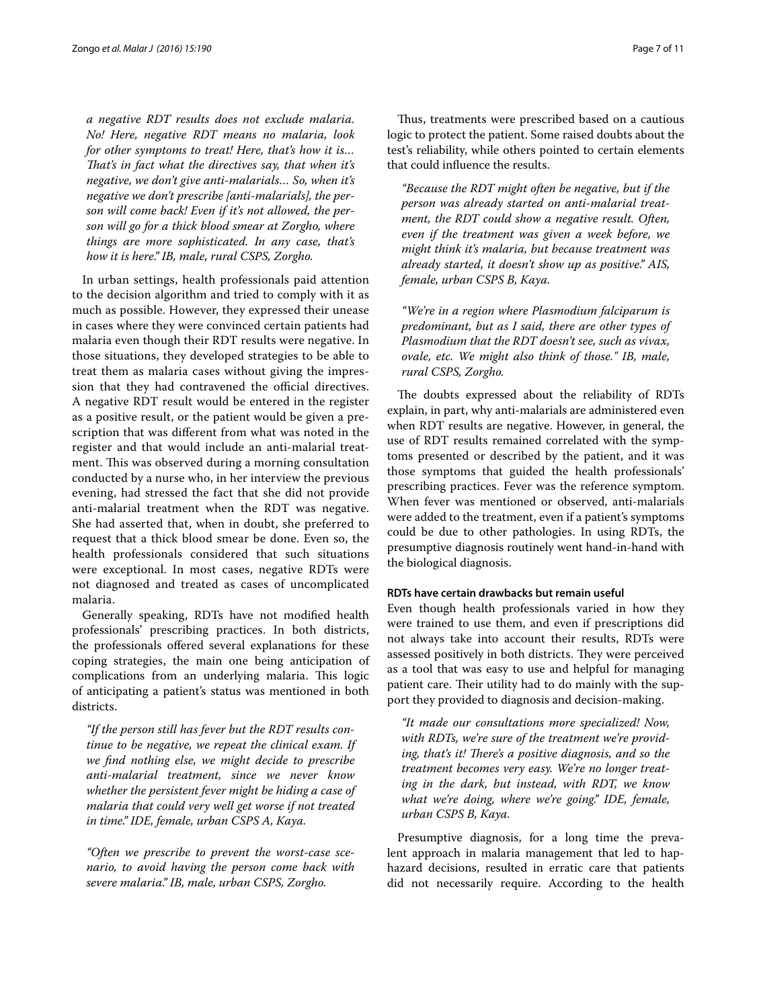*a negative RDT results does not exclude malaria. No! Here, negative RDT means no malaria, look for other symptoms to treat! Here, that's how it is… That's in fact what the directives say, that when it's negative, we don't give anti-malarials… So, when it's negative we don't prescribe [anti-malarials], the person will come back! Even if it's not allowed, the person will go for a thick blood smear at Zorgho, where things are more sophisticated. In any case, that's how it is here." IB, male, rural CSPS, Zorgho.*

In urban settings, health professionals paid attention to the decision algorithm and tried to comply with it as much as possible. However, they expressed their unease in cases where they were convinced certain patients had malaria even though their RDT results were negative. In those situations, they developed strategies to be able to treat them as malaria cases without giving the impression that they had contravened the official directives. A negative RDT result would be entered in the register as a positive result, or the patient would be given a prescription that was different from what was noted in the register and that would include an anti-malarial treatment. This was observed during a morning consultation conducted by a nurse who, in her interview the previous evening, had stressed the fact that she did not provide anti-malarial treatment when the RDT was negative. She had asserted that, when in doubt, she preferred to request that a thick blood smear be done. Even so, the health professionals considered that such situations were exceptional. In most cases, negative RDTs were not diagnosed and treated as cases of uncomplicated malaria.

Generally speaking, RDTs have not modified health professionals' prescribing practices. In both districts, the professionals offered several explanations for these coping strategies, the main one being anticipation of complications from an underlying malaria. This logic of anticipating a patient's status was mentioned in both districts.

*"If the person still has fever but the RDT results continue to be negative, we repeat the clinical exam. If we find nothing else, we might decide to prescribe anti-malarial treatment, since we never know whether the persistent fever might be hiding a case of malaria that could very well get worse if not treated in time." IDE, female, urban CSPS A, Kaya.*

*"Often we prescribe to prevent the worst-case scenario, to avoid having the person come back with severe malaria." IB, male, urban CSPS, Zorgho.*

Thus, treatments were prescribed based on a cautious logic to protect the patient. Some raised doubts about the test's reliability, while others pointed to certain elements that could influence the results.

*"Because the RDT might often be negative, but if the person was already started on anti-malarial treatment, the RDT could show a negative result. Often, even if the treatment was given a week before, we might think it's malaria, but because treatment was already started, it doesn't show up as positive." AIS, female, urban CSPS B, Kaya.*

*"We're in a region where Plasmodium falciparum is predominant, but as I said, there are other types of Plasmodium that the RDT doesn't see, such as vivax, ovale, etc. We might also think of those." IB, male, rural CSPS, Zorgho.*

The doubts expressed about the reliability of RDTs explain, in part, why anti-malarials are administered even when RDT results are negative. However, in general, the use of RDT results remained correlated with the symptoms presented or described by the patient, and it was those symptoms that guided the health professionals' prescribing practices. Fever was the reference symptom. When fever was mentioned or observed, anti-malarials were added to the treatment, even if a patient's symptoms could be due to other pathologies. In using RDTs, the presumptive diagnosis routinely went hand-in-hand with the biological diagnosis.

## **RDTs have certain drawbacks but remain useful**

Even though health professionals varied in how they were trained to use them, and even if prescriptions did not always take into account their results, RDTs were assessed positively in both districts. They were perceived as a tool that was easy to use and helpful for managing patient care. Their utility had to do mainly with the support they provided to diagnosis and decision-making.

*"It made our consultations more specialized! Now, with RDTs, we're sure of the treatment we're providing, that's it! There's a positive diagnosis, and so the treatment becomes very easy. We're no longer treating in the dark, but instead, with RDT, we know what we're doing, where we're going." IDE, female, urban CSPS B, Kaya.*

Presumptive diagnosis, for a long time the prevalent approach in malaria management that led to haphazard decisions, resulted in erratic care that patients did not necessarily require. According to the health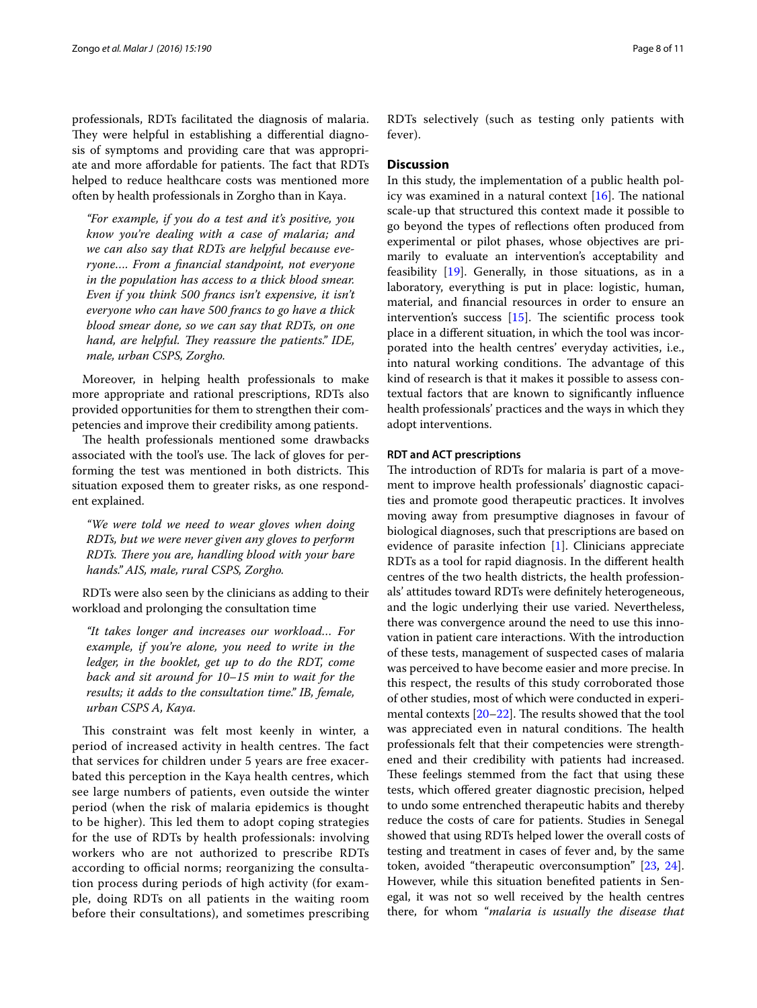professionals, RDTs facilitated the diagnosis of malaria. They were helpful in establishing a differential diagnosis of symptoms and providing care that was appropriate and more affordable for patients. The fact that RDTs helped to reduce healthcare costs was mentioned more often by health professionals in Zorgho than in Kaya.

*"For example, if you do a test and it's positive, you know you're dealing with a case of malaria; and we can also say that RDTs are helpful because everyone…. From a financial standpoint, not everyone in the population has access to a thick blood smear. Even if you think 500 francs isn't expensive, it isn't everyone who can have 500 francs to go have a thick blood smear done, so we can say that RDTs, on one hand, are helpful. They reassure the patients." IDE, male, urban CSPS, Zorgho.*

Moreover, in helping health professionals to make more appropriate and rational prescriptions, RDTs also provided opportunities for them to strengthen their competencies and improve their credibility among patients.

The health professionals mentioned some drawbacks associated with the tool's use. The lack of gloves for performing the test was mentioned in both districts. This situation exposed them to greater risks, as one respondent explained.

*"We were told we need to wear gloves when doing RDTs, but we were never given any gloves to perform RDTs. There you are, handling blood with your bare hands." AIS, male, rural CSPS, Zorgho.*

RDTs were also seen by the clinicians as adding to their workload and prolonging the consultation time

*"It takes longer and increases our workload… For example, if you're alone, you need to write in the ledger, in the booklet, get up to do the RDT, come back and sit around for 10–15 min to wait for the results; it adds to the consultation time." IB, female, urban CSPS A, Kaya.*

This constraint was felt most keenly in winter, a period of increased activity in health centres. The fact that services for children under 5 years are free exacerbated this perception in the Kaya health centres, which see large numbers of patients, even outside the winter period (when the risk of malaria epidemics is thought to be higher). This led them to adopt coping strategies for the use of RDTs by health professionals: involving workers who are not authorized to prescribe RDTs according to official norms; reorganizing the consultation process during periods of high activity (for example, doing RDTs on all patients in the waiting room before their consultations), and sometimes prescribing RDTs selectively (such as testing only patients with fever).

#### **Discussion**

In this study, the implementation of a public health policy was examined in a natural context  $[16]$  $[16]$ . The national scale-up that structured this context made it possible to go beyond the types of reflections often produced from experimental or pilot phases, whose objectives are primarily to evaluate an intervention's acceptability and feasibility [\[19](#page-10-17)]. Generally, in those situations, as in a laboratory, everything is put in place: logistic, human, material, and financial resources in order to ensure an intervention's success [[15\]](#page-10-13). The scientific process took place in a different situation, in which the tool was incorporated into the health centres' everyday activities, i.e., into natural working conditions. The advantage of this kind of research is that it makes it possible to assess contextual factors that are known to significantly influence health professionals' practices and the ways in which they adopt interventions.

#### **RDT and ACT prescriptions**

The introduction of RDTs for malaria is part of a movement to improve health professionals' diagnostic capacities and promote good therapeutic practices. It involves moving away from presumptive diagnoses in favour of biological diagnoses, such that prescriptions are based on evidence of parasite infection [[1\]](#page-9-0). Clinicians appreciate RDTs as a tool for rapid diagnosis. In the different health centres of the two health districts, the health professionals' attitudes toward RDTs were definitely heterogeneous, and the logic underlying their use varied. Nevertheless, there was convergence around the need to use this innovation in patient care interactions. With the introduction of these tests, management of suspected cases of malaria was perceived to have become easier and more precise. In this respect, the results of this study corroborated those of other studies, most of which were conducted in experimental contexts [\[20–](#page-10-18)[22\]](#page-10-19). The results showed that the tool was appreciated even in natural conditions. The health professionals felt that their competencies were strengthened and their credibility with patients had increased. These feelings stemmed from the fact that using these tests, which offered greater diagnostic precision, helped to undo some entrenched therapeutic habits and thereby reduce the costs of care for patients. Studies in Senegal showed that using RDTs helped lower the overall costs of testing and treatment in cases of fever and, by the same token, avoided "therapeutic overconsumption" [\[23,](#page-10-20) [24](#page-10-21)]. However, while this situation benefited patients in Senegal, it was not so well received by the health centres there, for whom "*malaria is usually the disease that*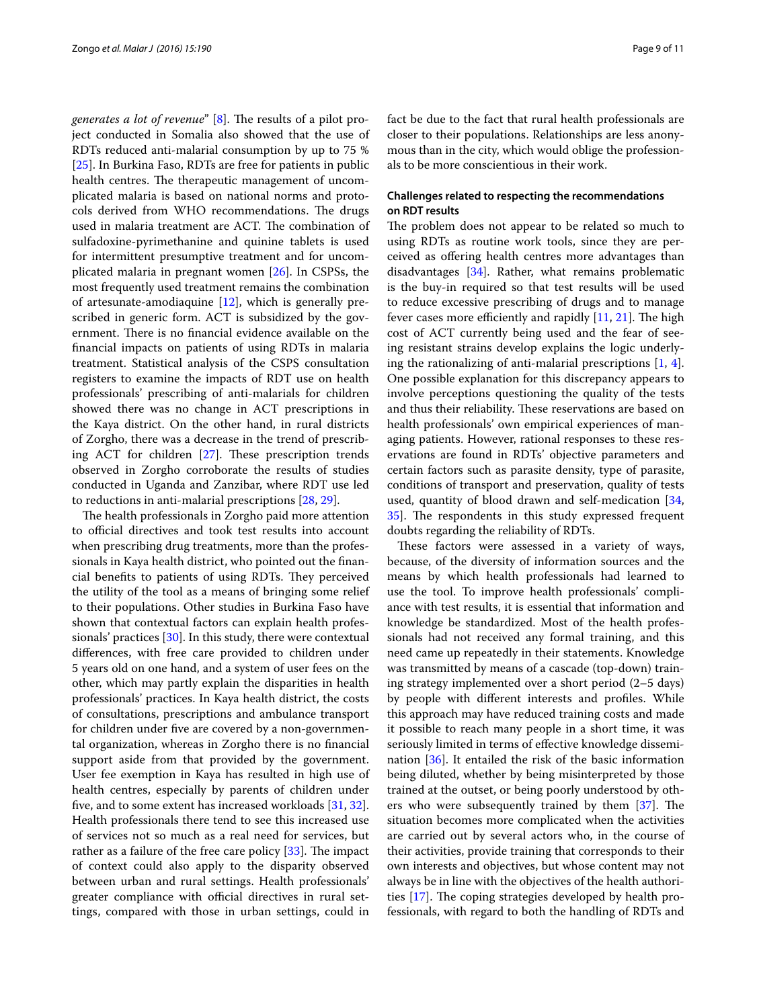*generates a lot of revenue*" [[8\]](#page-10-6). The results of a pilot project conducted in Somalia also showed that the use of RDTs reduced anti-malarial consumption by up to 75 % [[25\]](#page-10-22). In Burkina Faso, RDTs are free for patients in public health centres. The therapeutic management of uncomplicated malaria is based on national norms and protocols derived from WHO recommendations. The drugs used in malaria treatment are ACT. The combination of sulfadoxine-pyrimethanine and quinine tablets is used for intermittent presumptive treatment and for uncomplicated malaria in pregnant women [[26\]](#page-10-23). In CSPSs, the most frequently used treatment remains the combination of artesunate-amodiaquine  $[12]$  $[12]$ , which is generally prescribed in generic form. ACT is subsidized by the government. There is no financial evidence available on the financial impacts on patients of using RDTs in malaria treatment. Statistical analysis of the CSPS consultation registers to examine the impacts of RDT use on health professionals' prescribing of anti-malarials for children showed there was no change in ACT prescriptions in the Kaya district. On the other hand, in rural districts of Zorgho, there was a decrease in the trend of prescribing ACT for children [[27\]](#page-10-24). These prescription trends observed in Zorgho corroborate the results of studies conducted in Uganda and Zanzibar, where RDT use led to reductions in anti-malarial prescriptions [[28,](#page-10-25) [29](#page-10-26)].

The health professionals in Zorgho paid more attention to official directives and took test results into account when prescribing drug treatments, more than the professionals in Kaya health district, who pointed out the financial benefits to patients of using RDTs. They perceived the utility of the tool as a means of bringing some relief to their populations. Other studies in Burkina Faso have shown that contextual factors can explain health professionals' practices [[30\]](#page-10-27). In this study, there were contextual differences, with free care provided to children under 5 years old on one hand, and a system of user fees on the other, which may partly explain the disparities in health professionals' practices. In Kaya health district, the costs of consultations, prescriptions and ambulance transport for children under five are covered by a non-governmental organization, whereas in Zorgho there is no financial support aside from that provided by the government. User fee exemption in Kaya has resulted in high use of health centres, especially by parents of children under five, and to some extent has increased workloads [[31,](#page-10-28) [32](#page-10-29)]. Health professionals there tend to see this increased use of services not so much as a real need for services, but rather as a failure of the free care policy [\[33](#page-10-30)]. The impact of context could also apply to the disparity observed between urban and rural settings. Health professionals' greater compliance with official directives in rural settings, compared with those in urban settings, could in fact be due to the fact that rural health professionals are closer to their populations. Relationships are less anonymous than in the city, which would oblige the professionals to be more conscientious in their work.

## **Challenges related to respecting the recommendations on RDT results**

The problem does not appear to be related so much to using RDTs as routine work tools, since they are perceived as offering health centres more advantages than disadvantages [\[34](#page-10-31)]. Rather, what remains problematic is the buy-in required so that test results will be used to reduce excessive prescribing of drugs and to manage fever cases more efficiently and rapidly [[11,](#page-10-9) [21](#page-10-32)]. The high cost of ACT currently being used and the fear of seeing resistant strains develop explains the logic underlying the rationalizing of anti-malarial prescriptions [\[1,](#page-9-0) [4](#page-10-2)]. One possible explanation for this discrepancy appears to involve perceptions questioning the quality of the tests and thus their reliability. These reservations are based on health professionals' own empirical experiences of managing patients. However, rational responses to these reservations are found in RDTs' objective parameters and certain factors such as parasite density, type of parasite, conditions of transport and preservation, quality of tests used, quantity of blood drawn and self-medication [[34](#page-10-31), [35\]](#page-10-33). The respondents in this study expressed frequent doubts regarding the reliability of RDTs.

These factors were assessed in a variety of ways, because, of the diversity of information sources and the means by which health professionals had learned to use the tool. To improve health professionals' compliance with test results, it is essential that information and knowledge be standardized. Most of the health professionals had not received any formal training, and this need came up repeatedly in their statements. Knowledge was transmitted by means of a cascade (top-down) training strategy implemented over a short period (2–5 days) by people with different interests and profiles. While this approach may have reduced training costs and made it possible to reach many people in a short time, it was seriously limited in terms of effective knowledge dissemination [[36\]](#page-10-34). It entailed the risk of the basic information being diluted, whether by being misinterpreted by those trained at the outset, or being poorly understood by others who were subsequently trained by them [\[37](#page-10-35)]. The situation becomes more complicated when the activities are carried out by several actors who, in the course of their activities, provide training that corresponds to their own interests and objectives, but whose content may not always be in line with the objectives of the health authorities [\[17](#page-10-15)]. The coping strategies developed by health professionals, with regard to both the handling of RDTs and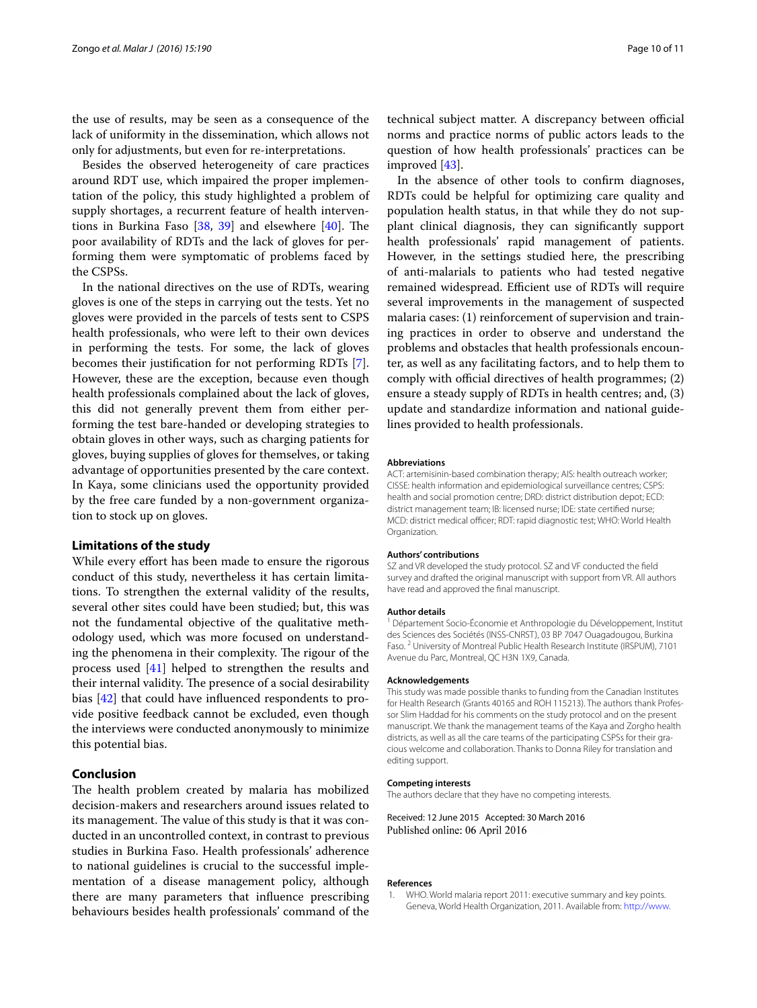the use of results, may be seen as a consequence of the lack of uniformity in the dissemination, which allows not only for adjustments, but even for re-interpretations.

Besides the observed heterogeneity of care practices around RDT use, which impaired the proper implementation of the policy, this study highlighted a problem of supply shortages, a recurrent feature of health interventions in Burkina Faso [[38](#page-10-36), [39\]](#page-10-37) and elsewhere [[40\]](#page-10-38). The poor availability of RDTs and the lack of gloves for performing them were symptomatic of problems faced by the CSPSs.

In the national directives on the use of RDTs, wearing gloves is one of the steps in carrying out the tests. Yet no gloves were provided in the parcels of tests sent to CSPS health professionals, who were left to their own devices in performing the tests. For some, the lack of gloves becomes their justification for not performing RDTs [\[7](#page-10-5)]. However, these are the exception, because even though health professionals complained about the lack of gloves, this did not generally prevent them from either performing the test bare-handed or developing strategies to obtain gloves in other ways, such as charging patients for gloves, buying supplies of gloves for themselves, or taking advantage of opportunities presented by the care context. In Kaya, some clinicians used the opportunity provided by the free care funded by a non-government organization to stock up on gloves.

#### **Limitations of the study**

While every effort has been made to ensure the rigorous conduct of this study, nevertheless it has certain limitations. To strengthen the external validity of the results, several other sites could have been studied; but, this was not the fundamental objective of the qualitative methodology used, which was more focused on understanding the phenomena in their complexity. The rigour of the process used [[41\]](#page-10-39) helped to strengthen the results and their internal validity. The presence of a social desirability bias [\[42](#page-10-40)] that could have influenced respondents to provide positive feedback cannot be excluded, even though the interviews were conducted anonymously to minimize this potential bias.

#### **Conclusion**

The health problem created by malaria has mobilized decision-makers and researchers around issues related to its management. The value of this study is that it was conducted in an uncontrolled context, in contrast to previous studies in Burkina Faso. Health professionals' adherence to national guidelines is crucial to the successful implementation of a disease management policy, although there are many parameters that influence prescribing behaviours besides health professionals' command of the

technical subject matter. A discrepancy between official norms and practice norms of public actors leads to the question of how health professionals' practices can be improved [[43](#page-10-41)].

In the absence of other tools to confirm diagnoses, RDTs could be helpful for optimizing care quality and population health status, in that while they do not supplant clinical diagnosis, they can significantly support health professionals' rapid management of patients. However, in the settings studied here, the prescribing of anti-malarials to patients who had tested negative remained widespread. Efficient use of RDTs will require several improvements in the management of suspected malaria cases: (1) reinforcement of supervision and training practices in order to observe and understand the problems and obstacles that health professionals encounter, as well as any facilitating factors, and to help them to comply with official directives of health programmes; (2) ensure a steady supply of RDTs in health centres; and, (3) update and standardize information and national guidelines provided to health professionals.

#### **Abbreviations**

ACT: artemisinin-based combination therapy; AIS: health outreach worker; CISSE: health information and epidemiological surveillance centres; CSPS: health and social promotion centre; DRD: district distribution depot; ECD: district management team; IB: licensed nurse; IDE: state certified nurse; MCD: district medical officer; RDT: rapid diagnostic test; WHO: World Health Organization.

#### **Authors' contributions**

SZ and VR developed the study protocol. SZ and VF conducted the field survey and drafted the original manuscript with support from VR. All authors have read and approved the final manuscript.

#### **Author details**

<sup>1</sup> Département Socio-Économie et Anthropologie du Développement, Institut des Sciences des Sociétés (INSS-CNRST), 03 BP 7047 Ouagadougou, Burkina Faso. 2 University of Montreal Public Health Research Institute (IRSPUM), 7101 Avenue du Parc, Montreal, QC H3N 1X9, Canada.

#### **Acknowledgements**

This study was made possible thanks to funding from the Canadian Institutes for Health Research (Grants 40165 and ROH 115213). The authors thank Professor Slim Haddad for his comments on the study protocol and on the present manuscript. We thank the management teams of the Kaya and Zorgho health districts, as well as all the care teams of the participating CSPSs for their gracious welcome and collaboration. Thanks to Donna Riley for translation and editing support.

#### **Competing interests**

The authors declare that they have no competing interests.

Received: 12 June 2015 Accepted: 30 March 2016 Published online: 06 April 2016

#### **References**

<span id="page-9-0"></span>1. WHO. World malaria report 2011: executive summary and key points. Geneva, World Health Organization, 2011. Available from: [http://www.](http://www.who.int/malaria/world_malaria_report_2011/wmr2011_summary_keypoints.pdf%3fua%3d1)